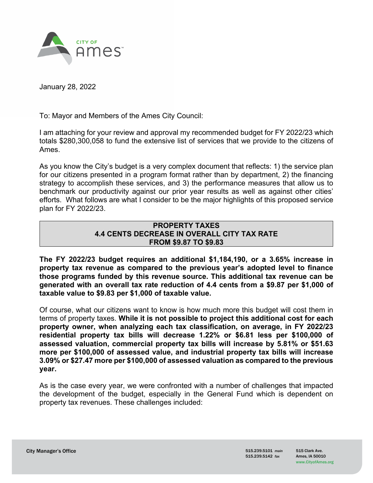

January 28, 2022

To: Mayor and Members of the Ames City Council:

I am attaching for your review and approval my recommended budget for FY 2022/23 which totals \$280,300,058 to fund the extensive list of services that we provide to the citizens of Ames.

As you know the City's budget is a very complex document that reflects: 1) the service plan for our citizens presented in a program format rather than by department, 2) the financing strategy to accomplish these services, and 3) the performance measures that allow us to benchmark our productivity against our prior year results as well as against other cities' efforts. What follows are what I consider to be the major highlights of this proposed service plan for FY 2022/23.

#### **PROPERTY TAXES 4.4 CENTS DECREASE IN OVERALL CITY TAX RATE FROM \$9.87 TO \$9.83**

**The FY 2022/23 budget requires an additional \$1,184,190, or a 3.65% increase in property tax revenue as compared to the previous year's adopted level to finance those programs funded by this revenue source. This additional tax revenue can be generated with an overall tax rate reduction of 4.4 cents from a \$9.87 per \$1,000 of taxable value to \$9.83 per \$1,000 of taxable value.** 

Of course, what our citizens want to know is how much more this budget will cost them in terms of property taxes. **While it is not possible to project this additional cost for each property owner, when analyzing each tax classification, on average, in FY 2022/23 residential property tax bills will decrease 1.22% or \$6.81 less per \$100,000 of assessed valuation, commercial property tax bills will increase by 5.81% or \$51.63 more per \$100,000 of assessed value, and industrial property tax bills will increase 3.09% or \$27.47 more per \$100,000 of assessed valuation as compared to the previous year.** 

As is the case every year, we were confronted with a number of challenges that impacted the development of the budget, especially in the General Fund which is dependent on property tax revenues. These challenges included: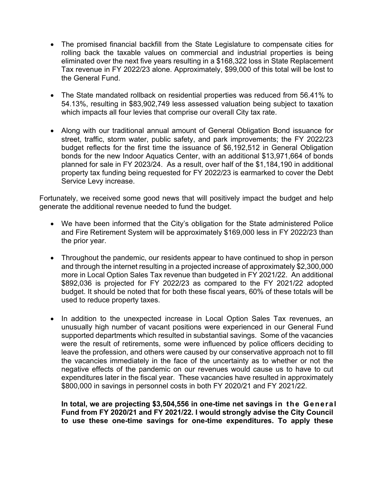- The promised financial backfill from the State Legislature to compensate cities for rolling back the taxable values on commercial and industrial properties is being eliminated over the next five years resulting in a \$168,322 loss in State Replacement Tax revenue in FY 2022/23 alone. Approximately, \$99,000 of this total will be lost to the General Fund.
- The State mandated rollback on residential properties was reduced from 56.41% to 54.13%, resulting in \$83,902,749 less assessed valuation being subject to taxation which impacts all four levies that comprise our overall City tax rate.
- Along with our traditional annual amount of General Obligation Bond issuance for street, traffic, storm water, public safety, and park improvements; the FY 2022/23 budget reflects for the first time the issuance of \$6,192,512 in General Obligation bonds for the new Indoor Aquatics Center, with an additional \$13,971,664 of bonds planned for sale in FY 2023/24. As a result, over half of the \$1,184,190 in additional property tax funding being requested for FY 2022/23 is earmarked to cover the Debt Service Levy increase.

Fortunately, we received some good news that will positively impact the budget and help generate the additional revenue needed to fund the budget.

- We have been informed that the City's obligation for the State administered Police and Fire Retirement System will be approximately \$169,000 less in FY 2022/23 than the prior year.
- Throughout the pandemic, our residents appear to have continued to shop in person and through the internet resulting in a projected increase of approximately \$2,300,000 more in Local Option Sales Tax revenue than budgeted in FY 2021/22. An additional \$892,036 is projected for FY 2022/23 as compared to the FY 2021/22 adopted budget. It should be noted that for both these fiscal years, 60% of these totals will be used to reduce property taxes.
- In addition to the unexpected increase in Local Option Sales Tax revenues, an unusually high number of vacant positions were experienced in our General Fund supported departments which resulted in substantial savings. Some of the vacancies were the result of retirements, some were influenced by police officers deciding to leave the profession, and others were caused by our conservative approach not to fill the vacancies immediately in the face of the uncertainty as to whether or not the negative effects of the pandemic on our revenues would cause us to have to cut expenditures later in the fiscal year. These vacancies have resulted in approximately \$800,000 in savings in personnel costs in both FY 2020/21 and FY 2021/22.

**In total, we are projecting \$3,504,556 in one-time net savings in the General Fund from FY 2020/21 and FY 2021/22. I would strongly advise the City Council to use these one-time savings for one-time expenditures. To apply these**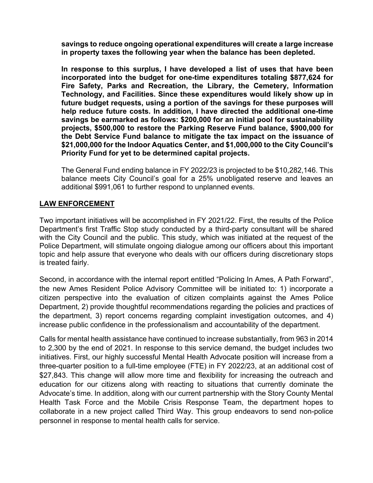**savings to reduce ongoing operational expenditures will create a large increase in property taxes the following year when the balance has been depleted.** 

**In response to this surplus, I have developed a list of uses that have been incorporated into the budget for one-time expenditures totaling \$877,624 for Fire Safety, Parks and Recreation, the Library, the Cemetery, Information Technology, and Facilities. Since these expenditures would likely show up in future budget requests, using a portion of the savings for these purposes will help reduce future costs. In addition, I have directed the additional one-time savings be earmarked as follows: \$200,000 for an initial pool for sustainability projects, \$500,000 to restore the Parking Reserve Fund balance, \$900,000 for the Debt Service Fund balance to mitigate the tax impact on the issuance of \$21,000,000 for the Indoor Aquatics Center, and \$1,000,000 to the City Council's Priority Fund for yet to be determined capital projects.** 

The General Fund ending balance in FY 2022/23 is projected to be \$10,282,146. This balance meets City Council's goal for a 25% unobligated reserve and leaves an additional \$991,061 to further respond to unplanned events.

## LAW ENFORCEMENT

Two important initiatives will be accomplished in FY 2021/22. First, the results of the Police Department's first Traffic Stop study conducted by a third-party consultant will be shared with the City Council and the public. This study, which was initiated at the request of the Police Department, will stimulate ongoing dialogue among our officers about this important topic and help assure that everyone who deals with our officers during discretionary stops is treated fairly.

Second, in accordance with the internal report entitled "Policing In Ames, A Path Forward", the new Ames Resident Police Advisory Committee will be initiated to: 1) incorporate a citizen perspective into the evaluation of citizen complaints against the Ames Police Department, 2) provide thoughtful recommendations regarding the policies and practices of the department, 3) report concerns regarding complaint investigation outcomes, and 4) increase public confidence in the professionalism and accountability of the department.

Calls for mental health assistance have continued to increase substantially, from 963 in 2014 to 2,300 by the end of 2021. In response to this service demand, the budget includes two initiatives. First, our highly successful Mental Health Advocate position will increase from a three-quarter position to a full-time employee (FTE) in FY 2022/23, at an additional cost of \$27,843. This change will allow more time and flexibility for increasing the outreach and education for our citizens along with reacting to situations that currently dominate the Advocate's time. In addition, along with our current partnership with the Story County Mental Health Task Force and the Mobile Crisis Response Team, the department hopes to collaborate in a new project called Third Way. This group endeavors to send non-police personnel in response to mental health calls for service.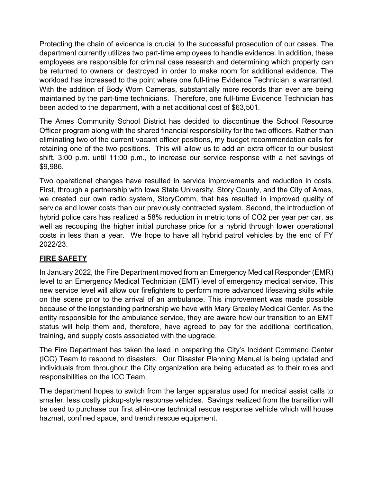Protecting the chain of evidence is crucial to the successful prosecution of our cases. The department currently utilizes two part-time employees to handle evidence. In addition, these employees are responsible for criminal case research and determining which property can be returned to owners or destroyed in order to make room for additional evidence. The workload has increased to the point where one full-time Evidence Technician is warranted. With the addition of Body Worn Cameras, substantially more records than ever are being maintained by the part-time technicians. Therefore, one full-time Evidence Technician has been added to the department, with a net additional cost of \$63,501.

The Ames Community School District has decided to discontinue the School Resource Officer program along with the shared financial responsibility for the two officers. Rather than eliminating two of the current vacant officer positions, my budget recommendation calls for retaining one of the two positions. This will allow us to add an extra officer to our busiest shift, 3:00 p.m. until 11:00 p.m., to increase our service response with a net savings of \$9,986.

Two operational changes have resulted in service improvements and reduction in costs. First, through a partnership with Iowa State University, Story County, and the City of Ames, we created our own radio system, StoryComm, that has resulted in improved quality of service and lower costs than our previously contracted system. Second, the introduction of hybrid police cars has realized a 58% reduction in metric tons of CO2 per year per car, as well as recouping the higher initial purchase price for a hybrid through lower operational costs in less than a year. We hope to have all hybrid patrol vehicles by the end of FY 2022/23.

# **FIRE SAFETY**

In January 2022, the Fire Department moved from an Emergency Medical Responder (EMR) level to an Emergency Medical Technician (EMT) level of emergency medical service. This new service level will allow our firefighters to perform more advanced lifesaving skills while on the scene prior to the arrival of an ambulance. This improvement was made possible because of the longstanding partnership we have with Mary Greeley Medical Center. As the entity responsible for the ambulance service, they are aware how our transition to an EMT status will help them and, therefore, have agreed to pay for the additional certification, training, and supply costs associated with the upgrade.

The Fire Department has taken the lead in preparing the City's Incident Command Center (ICC) Team to respond to disasters. Our Disaster Planning Manual is being updated and individuals from throughout the City organization are being educated as to their roles and responsibilities on the ICC Team.

The department hopes to switch from the larger apparatus used for medical assist calls to smaller, less costly pickup-style response vehicles. Savings realized from the transition will be used to purchase our first all-in-one technical rescue response vehicle which will house hazmat, confined space, and trench rescue equipment.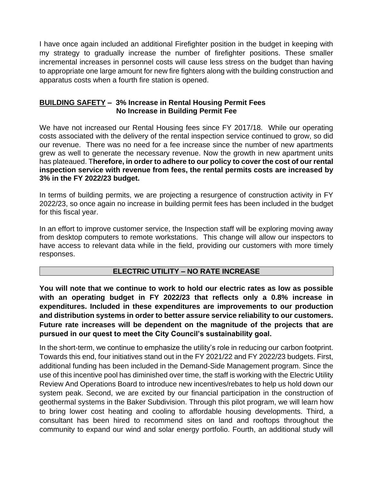I have once again included an additional Firefighter position in the budget in keeping with my strategy to gradually increase the number of firefighter positions. These smaller incremental increases in personnel costs will cause less stress on the budget than having to appropriate one large amount for new fire fighters along with the building construction and apparatus costs when a fourth fire station is opened.

### **BUILDING SAFETY – 3% Increase in Rental Housing Permit Fees No Increase in Building Permit Fee**

We have not increased our Rental Housing fees since FY 2017/18. While our operating costs associated with the delivery of the rental inspection service continued to grow, so did our revenue. There was no need for a fee increase since the number of new apartments grew as well to generate the necessary revenue. Now the growth in new apartment units has plateaued. T**herefore, in order to adhere to our policy to cover the cost of our rental inspection service with revenue from fees, the rental permits costs are increased by 3% in the FY 2022/23 budget.**

In terms of building permits, we are projecting a resurgence of construction activity in FY 2022/23, so once again no increase in building permit fees has been included in the budget for this fiscal year.

In an effort to improve customer service, the Inspection staff will be exploring moving away from desktop computers to remote workstations. This change will allow our inspectors to have access to relevant data while in the field, providing our customers with more timely responses.

### **ELECTRIC UTILITY – NO RATE INCREASE**

**You will note that we continue to work to hold our electric rates as low as possible with an operating budget in FY 2022/23 that reflects only a 0.8% increase in expenditures. Included in these expenditures are improvements to our production and distribution systems in order to better assure service reliability to our customers. Future rate increases will be dependent on the magnitude of the projects that are pursued in our quest to meet the City Council's sustainability goal.**

In the short-term, we continue to emphasize the utility's role in reducing our carbon footprint. Towards this end, four initiatives stand out in the FY 2021/22 and FY 2022/23 budgets. First, additional funding has been included in the Demand-Side Management program. Since the use of this incentive pool has diminished over time, the staff is working with the Electric Utility Review And Operations Board to introduce new incentives/rebates to help us hold down our system peak. Second, we are excited by our financial participation in the construction of geothermal systems in the Baker Subdivision. Through this pilot program, we will learn how to bring lower cost heating and cooling to affordable housing developments. Third, a consultant has been hired to recommend sites on land and rooftops throughout the community to expand our wind and solar energy portfolio. Fourth, an additional study will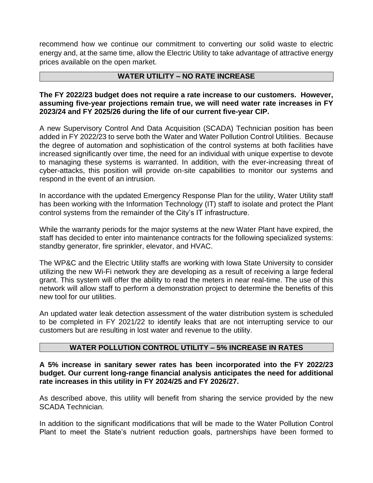recommend how we continue our commitment to converting our solid waste to electric energy and, at the same time, allow the Electric Utility to take advantage of attractive energy prices available on the open market.

### **WATER UTILITY – NO RATE INCREASE**

### **The FY 2022/23 budget does not require a rate increase to our customers. However, assuming five-year projections remain true, we will need water rate increases in FY 2023/24 and FY 2025/26 during the life of our current five-year CIP.**

A new Supervisory Control And Data Acquisition (SCADA) Technician position has been added in FY 2022/23 to serve both the Water and Water Pollution Control Utilities. Because the degree of automation and sophistication of the control systems at both facilities have increased significantly over time, the need for an individual with unique expertise to devote to managing these systems is warranted. In addition, with the ever-increasing threat of cyber-attacks, this position will provide on-site capabilities to monitor our systems and respond in the event of an intrusion.

In accordance with the updated Emergency Response Plan for the utility, Water Utility staff has been working with the Information Technology (IT) staff to isolate and protect the Plant control systems from the remainder of the City's IT infrastructure.

While the warranty periods for the major systems at the new Water Plant have expired, the staff has decided to enter into maintenance contracts for the following specialized systems: standby generator, fire sprinkler, elevator, and HVAC.

The WP&C and the Electric Utility staffs are working with Iowa State University to consider utilizing the new Wi-Fi network they are developing as a result of receiving a large federal grant. This system will offer the ability to read the meters in near real-time. The use of this network will allow staff to perform a demonstration project to determine the benefits of this new tool for our utilities.

An updated water leak detection assessment of the water distribution system is scheduled to be completed in FY 2021/22 to identify leaks that are not interrupting service to our customers but are resulting in lost water and revenue to the utility.

## **WATER POLLUTION CONTROL UTILITY – 5% INCREASE IN RATES**

### **A 5% increase in sanitary sewer rates has been incorporated into the FY 2022/23 budget. Our current long-range financial analysis anticipates the need for additional rate increases in this utility in FY 2024/25 and FY 2026/27.**

As described above, this utility will benefit from sharing the service provided by the new SCADA Technician.

In addition to the significant modifications that will be made to the Water Pollution Control Plant to meet the State's nutrient reduction goals, partnerships have been formed to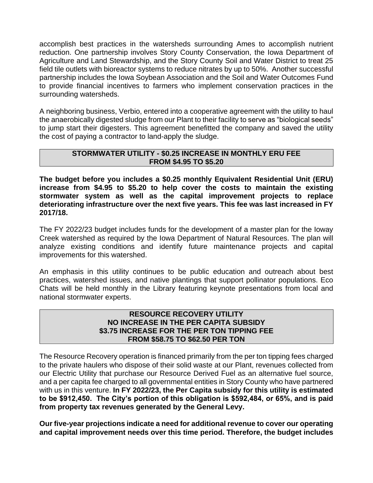accomplish best practices in the watersheds surrounding Ames to accomplish nutrient reduction. One partnership involves Story County Conservation, the Iowa Department of Agriculture and Land Stewardship, and the Story County Soil and Water District to treat 25 field tile outlets with bioreactor systems to reduce nitrates by up to 50%. Another successful partnership includes the Iowa Soybean Association and the Soil and Water Outcomes Fund to provide financial incentives to farmers who implement conservation practices in the surrounding watersheds.

A neighboring business, Verbio, entered into a cooperative agreement with the utility to haul the anaerobically digested sludge from our Plant to their facility to serve as "biological seeds" to jump start their digesters. This agreement benefitted the company and saved the utility the cost of paying a contractor to land-apply the sludge.

## **STORMWATER UTILITY - \$0.25 INCREASE IN MONTHLY ERU FEE FROM \$4.95 TO \$5.20**

**The budget before you includes a \$0.25 monthly Equivalent Residential Unit (ERU) increase from \$4.95 to \$5.20 to help cover the costs to maintain the existing stormwater system as well as the capital improvement projects to replace deteriorating infrastructure over the next five years. This fee was last increased in FY 2017/18.**

The FY 2022/23 budget includes funds for the development of a master plan for the Ioway Creek watershed as required by the Iowa Department of Natural Resources. The plan will analyze existing conditions and identify future maintenance projects and capital improvements for this watershed.

An emphasis in this utility continues to be public education and outreach about best practices, watershed issues, and native plantings that support pollinator populations. Eco Chats will be held monthly in the Library featuring keynote presentations from local and national stormwater experts.

#### **RESOURCE RECOVERY UTILITY NO INCREASE IN THE PER CAPITA SUBSIDY \$3.75 INCREASE FOR THE PER TON TIPPING FEE FROM \$58.75 TO \$62.50 PER TON**

The Resource Recovery operation is financed primarily from the per ton tipping fees charged to the private haulers who dispose of their solid waste at our Plant, revenues collected from our Electric Utility that purchase our Resource Derived Fuel as an alternative fuel source, and a per capita fee charged to all governmental entities in Story County who have partnered with us in this venture. **In FY 2022/23, the Per Capita subsidy for this utility is estimated to be \$912,450. The City's portion of this obligation is \$592,484, or 65%, and is paid from property tax revenues generated by the General Levy.**

**Our five-year projections indicate a need for additional revenue to cover our operating and capital improvement needs over this time period. Therefore, the budget includes**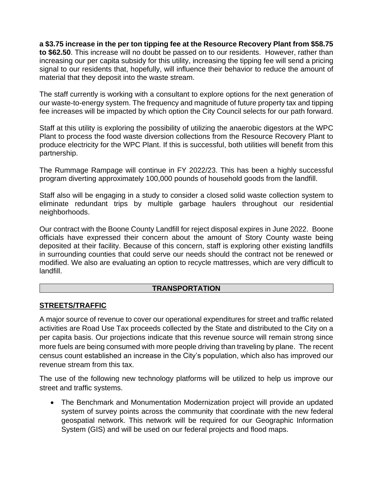**a \$3.75 increase in the per ton tipping fee at the Resource Recovery Plant from \$58.75 to \$62.50**. This increase will no doubt be passed on to our residents. However, rather than increasing our per capita subsidy for this utility, increasing the tipping fee will send a pricing signal to our residents that, hopefully, will influence their behavior to reduce the amount of material that they deposit into the waste stream.

The staff currently is working with a consultant to explore options for the next generation of our waste-to-energy system. The frequency and magnitude of future property tax and tipping fee increases will be impacted by which option the City Council selects for our path forward.

Staff at this utility is exploring the possibility of utilizing the anaerobic digestors at the WPC Plant to process the food waste diversion collections from the Resource Recovery Plant to produce electricity for the WPC Plant. If this is successful, both utilities will benefit from this partnership.

The Rummage Rampage will continue in FY 2022/23. This has been a highly successful program diverting approximately 100,000 pounds of household goods from the landfill.

Staff also will be engaging in a study to consider a closed solid waste collection system to eliminate redundant trips by multiple garbage haulers throughout our residential neighborhoods.

Our contract with the Boone County Landfill for reject disposal expires in June 2022. Boone officials have expressed their concern about the amount of Story County waste being deposited at their facility. Because of this concern, staff is exploring other existing landfills in surrounding counties that could serve our needs should the contract not be renewed or modified. We also are evaluating an option to recycle mattresses, which are very difficult to landfill.

## **TRANSPORTATION**

# **STREETS/TRAFFIC**

A major source of revenue to cover our operational expenditures for street and traffic related activities are Road Use Tax proceeds collected by the State and distributed to the City on a per capita basis. Our projections indicate that this revenue source will remain strong since more fuels are being consumed with more people driving than traveling by plane. The recent census count established an increase in the City's population, which also has improved our revenue stream from this tax.

The use of the following new technology platforms will be utilized to help us improve our street and traffic systems.

• The Benchmark and Monumentation Modernization project will provide an updated system of survey points across the community that coordinate with the new federal geospatial network. This network will be required for our Geographic Information System (GIS) and will be used on our federal projects and flood maps.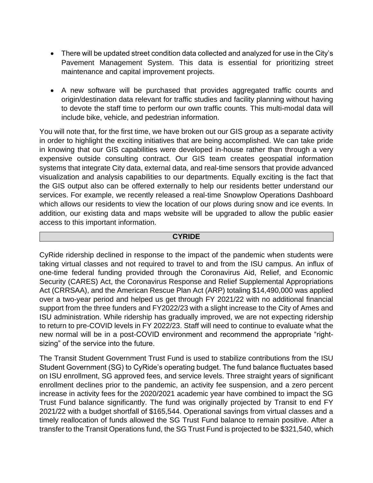- There will be updated street condition data collected and analyzed for use in the City's Pavement Management System. This data is essential for prioritizing street maintenance and capital improvement projects.
- A new software will be purchased that provides aggregated traffic counts and origin/destination data relevant for traffic studies and facility planning without having to devote the staff time to perform our own traffic counts. This multi-modal data will include bike, vehicle, and pedestrian information.

You will note that, for the first time, we have broken out our GIS group as a separate activity in order to highlight the exciting initiatives that are being accomplished. We can take pride in knowing that our GIS capabilities were developed in-house rather than through a very expensive outside consulting contract. Our GIS team creates geospatial information systems that integrate City data, external data, and real-time sensors that provide advanced visualization and analysis capabilities to our departments. Equally exciting is the fact that the GIS output also can be offered externally to help our residents better understand our services. For example, we recently released a real-time Snowplow Operations Dashboard which allows our residents to view the location of our plows during snow and ice events. In addition, our existing data and maps website will be upgraded to allow the public easier access to this important information.

#### **CYRIDE**

CyRide ridership declined in response to the impact of the pandemic when students were taking virtual classes and not required to travel to and from the ISU campus. An influx of one-time federal funding provided through the Coronavirus Aid, Relief, and Economic Security (CARES) Act, the Coronavirus Response and Relief Supplemental Appropriations Act (CRRSAA), and the American Rescue Plan Act (ARP) totaling \$14,490,000 was applied over a two-year period and helped us get through FY 2021/22 with no additional financial support from the three funders and FY2022/23 with a slight increase to the City of Ames and ISU administration. While ridership has gradually improved, we are not expecting ridership to return to pre-COVID levels in FY 2022/23. Staff will need to continue to evaluate what the new normal will be in a post-COVID environment and recommend the appropriate "rightsizing" of the service into the future.

The Transit Student Government Trust Fund is used to stabilize contributions from the ISU Student Government (SG) to CyRide's operating budget. The fund balance fluctuates based on ISU enrollment, SG approved fees, and service levels. Three straight years of significant enrollment declines prior to the pandemic, an activity fee suspension, and a zero percent increase in activity fees for the 2020/2021 academic year have combined to impact the SG Trust Fund balance significantly. The fund was originally projected by Transit to end FY 2021/22 with a budget shortfall of \$165,544. Operational savings from virtual classes and a timely reallocation of funds allowed the SG Trust Fund balance to remain positive. After a transfer to the Transit Operations fund, the SG Trust Fund is projected to be \$321,540, which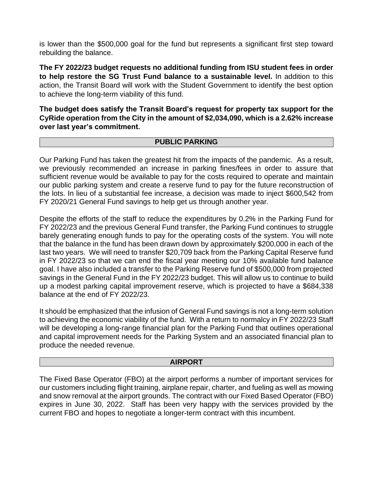is lower than the \$500,000 goal for the fund but represents a significant first step toward rebuilding the balance.

**The FY 2022/23 budget requests no additional funding from ISU student fees in order to help restore the SG Trust Fund balance to a sustainable level.** In addition to this action, the Transit Board will work with the Student Government to identify the best option to achieve the long-term viability of this fund.

**The budget does satisfy the Transit Board's request for property tax support for the CyRide operation from the City in the amount of \$2,034,090, which is a 2.62% increase over last year's commitment.**

#### **PUBLIC PARKING**

Our Parking Fund has taken the greatest hit from the impacts of the pandemic. As a result, we previously recommended an increase in parking fines/fees in order to assure that sufficient revenue would be available to pay for the costs required to operate and maintain our public parking system and create a reserve fund to pay for the future reconstruction of the lots. In lieu of a substantial fee increase, a decision was made to inject \$600,542 from FY 2020/21 General Fund savings to help get us through another year.

Despite the efforts of the staff to reduce the expenditures by 0.2% in the Parking Fund for FY 2022/23 and the previous General Fund transfer, the Parking Fund continues to struggle barely generating enough funds to pay for the operating costs of the system. You will note that the balance in the fund has been drawn down by approximately \$200,000 in each of the last two years. We will need to transfer \$20,709 back from the Parking Capital Reserve fund in FY 2022/23 so that we can end the fiscal year meeting our 10% available fund balance goal. I have also included a transfer to the Parking Reserve fund of \$500,000 from projected savings in the General Fund in the FY 2022/23 budget. This will allow us to continue to build up a modest parking capital improvement reserve, which is projected to have a \$684,338 balance at the end of FY 2022/23.

It should be emphasized that the infusion of General Fund savings is not a long-term solution to achieving the economic viability of the fund. With a return to normalcy in FY 2022/23 Staff will be developing a long-range financial plan for the Parking Fund that outlines operational and capital improvement needs for the Parking System and an associated financial plan to produce the needed revenue.

#### **AIRPORT**

The Fixed Base Operator (FBO) at the airport performs a number of important services for our customers including flight training, airplane repair, charter, and fueling as well as mowing and snow removal at the airport grounds. The contract with our Fixed Based Operator (FBO) expires in June 30, 2022. Staff has been very happy with the services provided by the current FBO and hopes to negotiate a longer-term contract with this incumbent.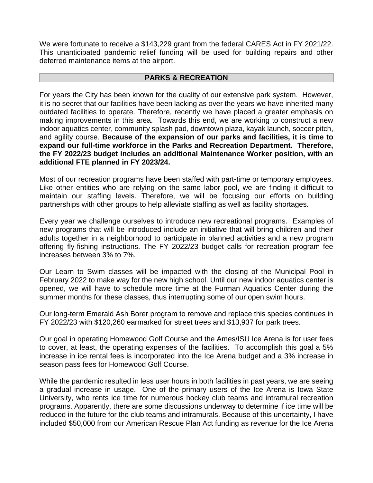We were fortunate to receive a \$143,229 grant from the federal CARES Act in FY 2021/22. This unanticipated pandemic relief funding will be used for building repairs and other deferred maintenance items at the airport.

### **PARKS & RECREATION**

For years the City has been known for the quality of our extensive park system. However, it is no secret that our facilities have been lacking as over the years we have inherited many outdated facilities to operate. Therefore, recently we have placed a greater emphasis on making improvements in this area. Towards this end, we are working to construct a new indoor aquatics center, community splash pad, downtown plaza, kayak launch, soccer pitch, and agility course. **Because of the expansion of our parks and facilities, it is time to expand our full-time workforce in the Parks and Recreation Department. Therefore, the FY 2022/23 budget includes an additional Maintenance Worker position, with an additional FTE planned in FY 2023/24.**

Most of our recreation programs have been staffed with part-time or temporary employees. Like other entities who are relying on the same labor pool, we are finding it difficult to maintain our staffing levels. Therefore, we will be focusing our efforts on building partnerships with other groups to help alleviate staffing as well as facility shortages.

Every year we challenge ourselves to introduce new recreational programs. Examples of new programs that will be introduced include an initiative that will bring children and their adults together in a neighborhood to participate in planned activities and a new program offering fly-fishing instructions. The FY 2022/23 budget calls for recreation program fee increases between 3% to 7%.

Our Learn to Swim classes will be impacted with the closing of the Municipal Pool in February 2022 to make way for the new high school. Until our new indoor aquatics center is opened, we will have to schedule more time at the Furman Aquatics Center during the summer months for these classes, thus interrupting some of our open swim hours.

Our long-term Emerald Ash Borer program to remove and replace this species continues in FY 2022/23 with \$120,260 earmarked for street trees and \$13,937 for park trees.

Our goal in operating Homewood Golf Course and the Ames/ISU Ice Arena is for user fees to cover, at least, the operating expenses of the facilities. To accomplish this goal a 5% increase in ice rental fees is incorporated into the Ice Arena budget and a 3% increase in season pass fees for Homewood Golf Course.

While the pandemic resulted in less user hours in both facilities in past years, we are seeing a gradual increase in usage. One of the primary users of the Ice Arena is Iowa State University, who rents ice time for numerous hockey club teams and intramural recreation programs. Apparently, there are some discussions underway to determine if ice time will be reduced in the future for the club teams and intramurals. Because of this uncertainty, I have included \$50,000 from our American Rescue Plan Act funding as revenue for the Ice Arena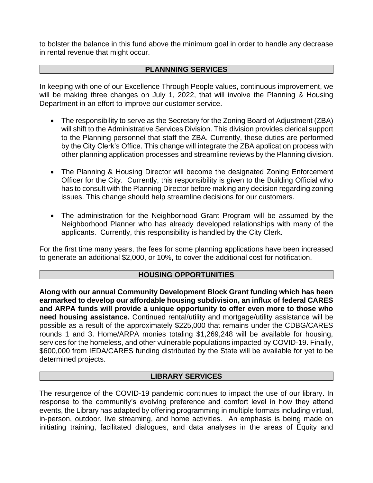to bolster the balance in this fund above the minimum goal in order to handle any decrease in rental revenue that might occur.

### **PLANNNING SERVICES**

In keeping with one of our Excellence Through People values, continuous improvement, we will be making three changes on July 1, 2022, that will involve the Planning & Housing Department in an effort to improve our customer service.

- The responsibility to serve as the Secretary for the Zoning Board of Adjustment (ZBA) will shift to the Administrative Services Division. This division provides clerical support to the Planning personnel that staff the ZBA. Currently, these duties are performed by the City Clerk's Office. This change will integrate the ZBA application process with other planning application processes and streamline reviews by the Planning division.
- The Planning & Housing Director will become the designated Zoning Enforcement Officer for the City. Currently, this responsibility is given to the Building Official who has to consult with the Planning Director before making any decision regarding zoning issues. This change should help streamline decisions for our customers.
- The administration for the Neighborhood Grant Program will be assumed by the Neighborhood Planner who has already developed relationships with many of the applicants. Currently, this responsibility is handled by the City Clerk.

For the first time many years, the fees for some planning applications have been increased to generate an additional \$2,000, or 10%, to cover the additional cost for notification.

### **HOUSING OPPORTUNITIES**

**Along with our annual Community Development Block Grant funding which has been earmarked to develop our affordable housing subdivision, an influx of federal CARES and ARPA funds will provide a unique opportunity to offer even more to those who need housing assistance.** Continued rental/utility and mortgage/utility assistance will be possible as a result of the approximately \$225,000 that remains under the CDBG/CARES rounds 1 and 3. Home/ARPA monies totaling \$1,269,248 will be available for housing, services for the homeless, and other vulnerable populations impacted by COVID-19. Finally, \$600,000 from IEDA/CARES funding distributed by the State will be available for yet to be determined projects.

### **LIBRARY SERVICES**

The resurgence of the COVID-19 pandemic continues to impact the use of our library. In response to the community's evolving preference and comfort level in how they attend events, the Library has adapted by offering programming in multiple formats including virtual, in-person, outdoor, live streaming, and home activities. An emphasis is being made on initiating training, facilitated dialogues, and data analyses in the areas of Equity and